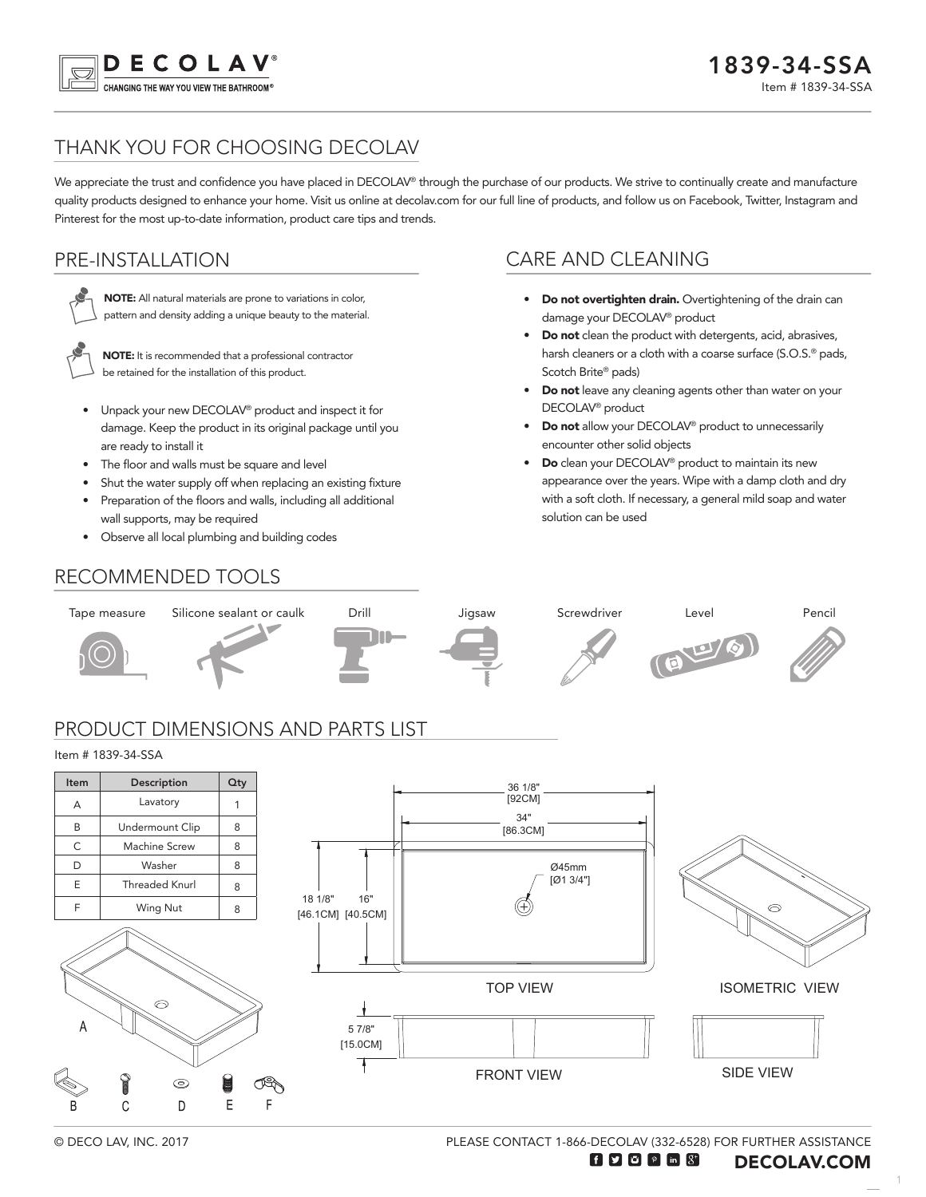

# THANK YOU FOR CHOOSING DECOLAV

We appreciate the trust and confidence you have placed in DECOLAV® through the purchase of our products. We strive to continually create and manufacture quality products designed to enhance your home. Visit us online at decolav.com for our full line of products, and follow us on Facebook, Twitter, Instagram and Pinterest for the most up-to-date information, product care tips and trends.

## PRE-INSTALLATION



NOTE: All natural materials are prone to variations in color, pattern and density adding a unique beauty to the material.



NOTE: It is recommended that a professional contractor be retained for the installation of this product.

- Unpack your new DECOLAV® product and inspect it for damage. Keep the product in its original package until you are ready to install it
- The floor and walls must be square and level
- Shut the water supply off when replacing an existing fixture
- Preparation of the floors and walls, including all additional wall supports, may be required
- Observe all local plumbing and building codes

RECOMMENDED TOOLS

## CARE AND CLEANING

- Do not overtighten drain. Overtightening of the drain can damage your DECOLAV® product
- Do not clean the product with detergents, acid, abrasives, harsh cleaners or a cloth with a coarse surface (S.O.S.<sup>®</sup> pads, Scotch Brite® pads)
- Do not leave any cleaning agents other than water on your DECOLAV® product
- Do not allow your DECOLAV® product to unnecessarily encounter other solid objects
- **Do** clean your DECOLAV<sup>®</sup> product to maintain its new appearance over the years. Wipe with a damp cloth and dry with a soft cloth. If necessary, a general mild soap and water solution can be used





PLEASE CONTACT 1-866-DECOLAV (332-6528) FOR FURTHER ASSISTANCE

1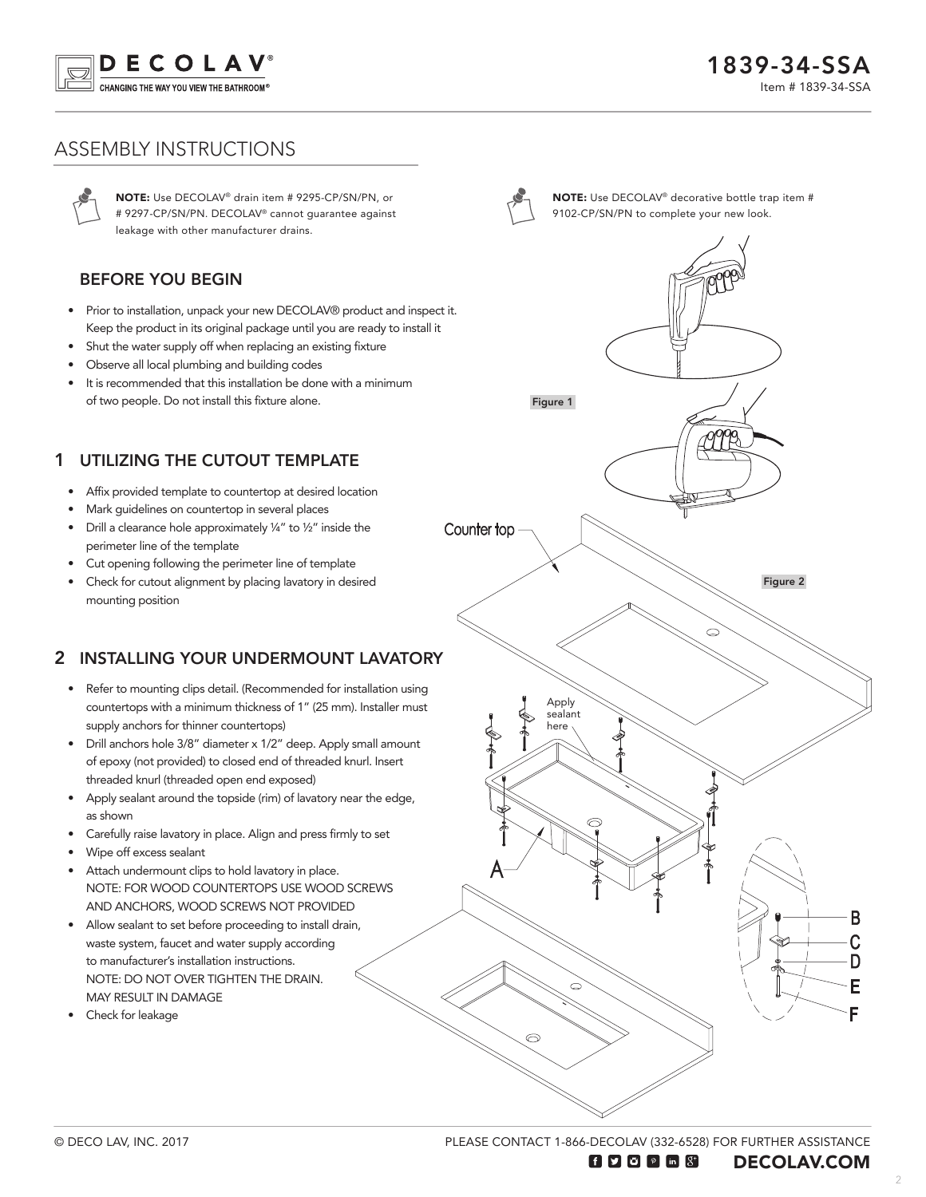

## ASSEMBLY INSTRUCTIONS

NOTE: Use DECOLAV® drain item # 9295-CP/SN/PN, or # 9297-CP/SN/PN. DECOLAV® cannot guarantee against leakage with other manufacturer drains.

#### BEFORE YOU BEGIN

- Prior to installation, unpack your new DECOLAV® product and inspect it. Keep the product in its original package until you are ready to install it
- Shut the water supply off when replacing an existing fixture
- Observe all local plumbing and building codes
- It is recommended that this installation be done with a minimum of two people. Do not install this fixture alone.

### UTILIZING THE CUTOUT TEMPLATE 1

- Affix provided template to countertop at desired location
- Mark guidelines on countertop in several places
- Drill a clearance hole approximately ¼" to ½" inside the perimeter line of the template
- Cut opening following the perimeter line of template
- Check for cutout alignment by placing lavatory in desired mounting position

### 2 INSTALLING YOUR UNDERMOUNT LAVATORY

- Refer to mounting clips detail. (Recommended for installation using countertops with a minimum thickness of 1" (25 mm). Installer must supply anchors for thinner countertops)
- Drill anchors hole 3/8" diameter x 1/2" deep. Apply small amount of epoxy (not provided) to closed end of threaded knurl. Insert threaded knurl (threaded open end exposed)
- Apply sealant around the topside (rim) of lavatory near the edge, as shown
- Carefully raise lavatory in place. Align and press firmly to set
- Wipe off excess sealant
- Attach undermount clips to hold lavatory in place. NOTE: FOR WOOD COUNTERTOPS USE WOOD SCREWS AND ANCHORS, WOOD SCREWS NOT PROVIDED
- Allow sealant to set before proceeding to install drain, waste system, faucet and water supply according to manufacturer's installation instructions. NOTE: DO NOT OVER TIGHTEN THE DRAIN. MAY RESULT IN DAMAGE
- Check for leakage



NOTE: Use DECOLAV® decorative bottle trap item # 9102-CP/SN/PN to complete your new look.



PLEASE CONTACT 1-866-DECOLAV (332-6528) FOR FURTHER ASSISTANCE